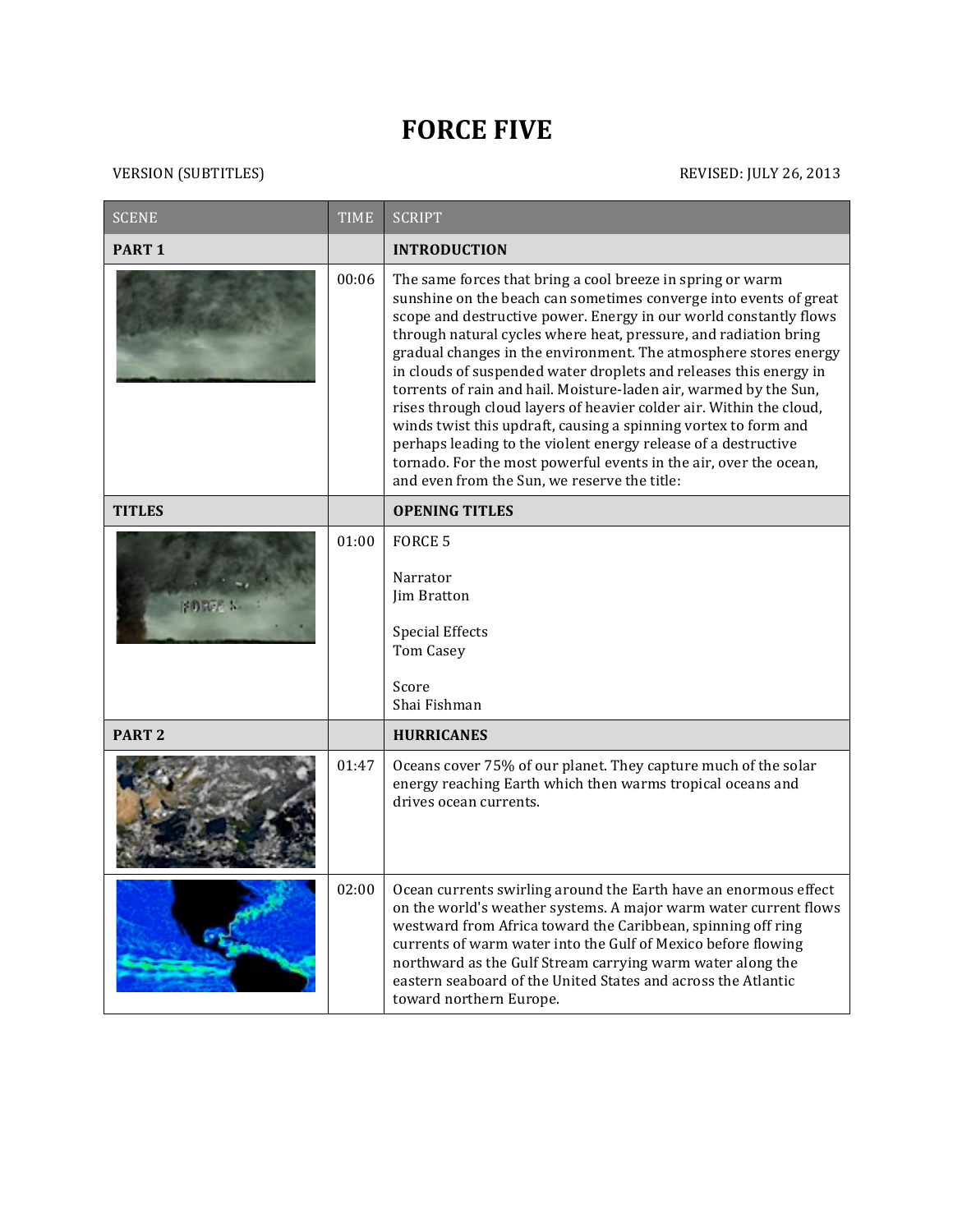## **FORCE FIVE**

| <b>SCENE</b>      | <b>TIME</b> | <b>SCRIPT</b>                                                                                                                                                                                                                                                                                                                                                                                                                                                                                                                                                                                                                                                                                                                                                                                                           |
|-------------------|-------------|-------------------------------------------------------------------------------------------------------------------------------------------------------------------------------------------------------------------------------------------------------------------------------------------------------------------------------------------------------------------------------------------------------------------------------------------------------------------------------------------------------------------------------------------------------------------------------------------------------------------------------------------------------------------------------------------------------------------------------------------------------------------------------------------------------------------------|
| PART <sub>1</sub> |             | <b>INTRODUCTION</b>                                                                                                                                                                                                                                                                                                                                                                                                                                                                                                                                                                                                                                                                                                                                                                                                     |
|                   | 00:06       | The same forces that bring a cool breeze in spring or warm<br>sunshine on the beach can sometimes converge into events of great<br>scope and destructive power. Energy in our world constantly flows<br>through natural cycles where heat, pressure, and radiation bring<br>gradual changes in the environment. The atmosphere stores energy<br>in clouds of suspended water droplets and releases this energy in<br>torrents of rain and hail. Moisture-laden air, warmed by the Sun,<br>rises through cloud layers of heavier colder air. Within the cloud,<br>winds twist this updraft, causing a spinning vortex to form and<br>perhaps leading to the violent energy release of a destructive<br>tornado. For the most powerful events in the air, over the ocean,<br>and even from the Sun, we reserve the title: |
| <b>TITLES</b>     |             | <b>OPENING TITLES</b>                                                                                                                                                                                                                                                                                                                                                                                                                                                                                                                                                                                                                                                                                                                                                                                                   |
|                   | 01:00       | <b>FORCE 5</b><br>Narrator<br>Jim Bratton<br><b>Special Effects</b><br><b>Tom Casey</b><br>Score<br>Shai Fishman                                                                                                                                                                                                                                                                                                                                                                                                                                                                                                                                                                                                                                                                                                        |
| PART <sub>2</sub> |             | <b>HURRICANES</b>                                                                                                                                                                                                                                                                                                                                                                                                                                                                                                                                                                                                                                                                                                                                                                                                       |
|                   | 01:47       | Oceans cover 75% of our planet. They capture much of the solar<br>energy reaching Earth which then warms tropical oceans and<br>drives ocean currents.                                                                                                                                                                                                                                                                                                                                                                                                                                                                                                                                                                                                                                                                  |
|                   | 02:00       | Ocean currents swirling around the Earth have an enormous effect<br>on the world's weather systems. A major warm water current flows<br>westward from Africa toward the Caribbean, spinning off ring<br>currents of warm water into the Gulf of Mexico before flowing<br>northward as the Gulf Stream carrying warm water along the<br>eastern seaboard of the United States and across the Atlantic<br>toward northern Europe.                                                                                                                                                                                                                                                                                                                                                                                         |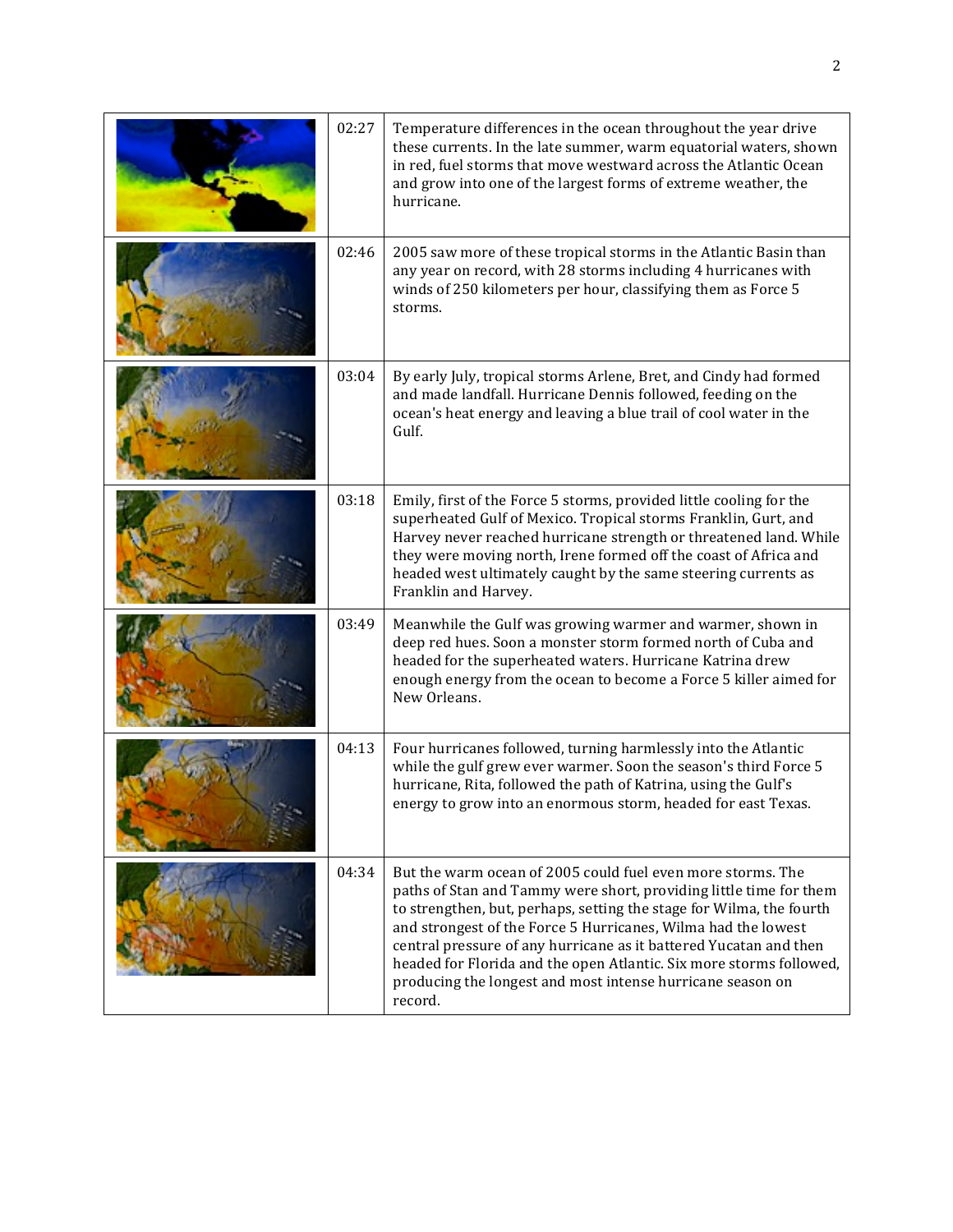| 02:27 | Temperature differences in the ocean throughout the year drive<br>these currents. In the late summer, warm equatorial waters, shown<br>in red, fuel storms that move westward across the Atlantic Ocean<br>and grow into one of the largest forms of extreme weather, the<br>hurricane.                                                                                                                                                                                                         |
|-------|-------------------------------------------------------------------------------------------------------------------------------------------------------------------------------------------------------------------------------------------------------------------------------------------------------------------------------------------------------------------------------------------------------------------------------------------------------------------------------------------------|
| 02:46 | 2005 saw more of these tropical storms in the Atlantic Basin than<br>any year on record, with 28 storms including 4 hurricanes with<br>winds of 250 kilometers per hour, classifying them as Force 5<br>storms.                                                                                                                                                                                                                                                                                 |
| 03:04 | By early July, tropical storms Arlene, Bret, and Cindy had formed<br>and made landfall. Hurricane Dennis followed, feeding on the<br>ocean's heat energy and leaving a blue trail of cool water in the<br>Gulf.                                                                                                                                                                                                                                                                                 |
| 03:18 | Emily, first of the Force 5 storms, provided little cooling for the<br>superheated Gulf of Mexico. Tropical storms Franklin, Gurt, and<br>Harvey never reached hurricane strength or threatened land. While<br>they were moving north, Irene formed off the coast of Africa and<br>headed west ultimately caught by the same steering currents as<br>Franklin and Harvey.                                                                                                                       |
| 03:49 | Meanwhile the Gulf was growing warmer and warmer, shown in<br>deep red hues. Soon a monster storm formed north of Cuba and<br>headed for the superheated waters. Hurricane Katrina drew<br>enough energy from the ocean to become a Force 5 killer aimed for<br>New Orleans.                                                                                                                                                                                                                    |
| 04:13 | Four hurricanes followed, turning harmlessly into the Atlantic<br>while the gulf grew ever warmer. Soon the season's third Force 5<br>hurricane, Rita, followed the path of Katrina, using the Gulf's<br>energy to grow into an enormous storm, headed for east Texas.                                                                                                                                                                                                                          |
| 04:34 | But the warm ocean of 2005 could fuel even more storms. The<br>paths of Stan and Tammy were short, providing little time for them<br>to strengthen, but, perhaps, setting the stage for Wilma, the fourth<br>and strongest of the Force 5 Hurricanes, Wilma had the lowest<br>central pressure of any hurricane as it battered Yucatan and then<br>headed for Florida and the open Atlantic. Six more storms followed,<br>producing the longest and most intense hurricane season on<br>record. |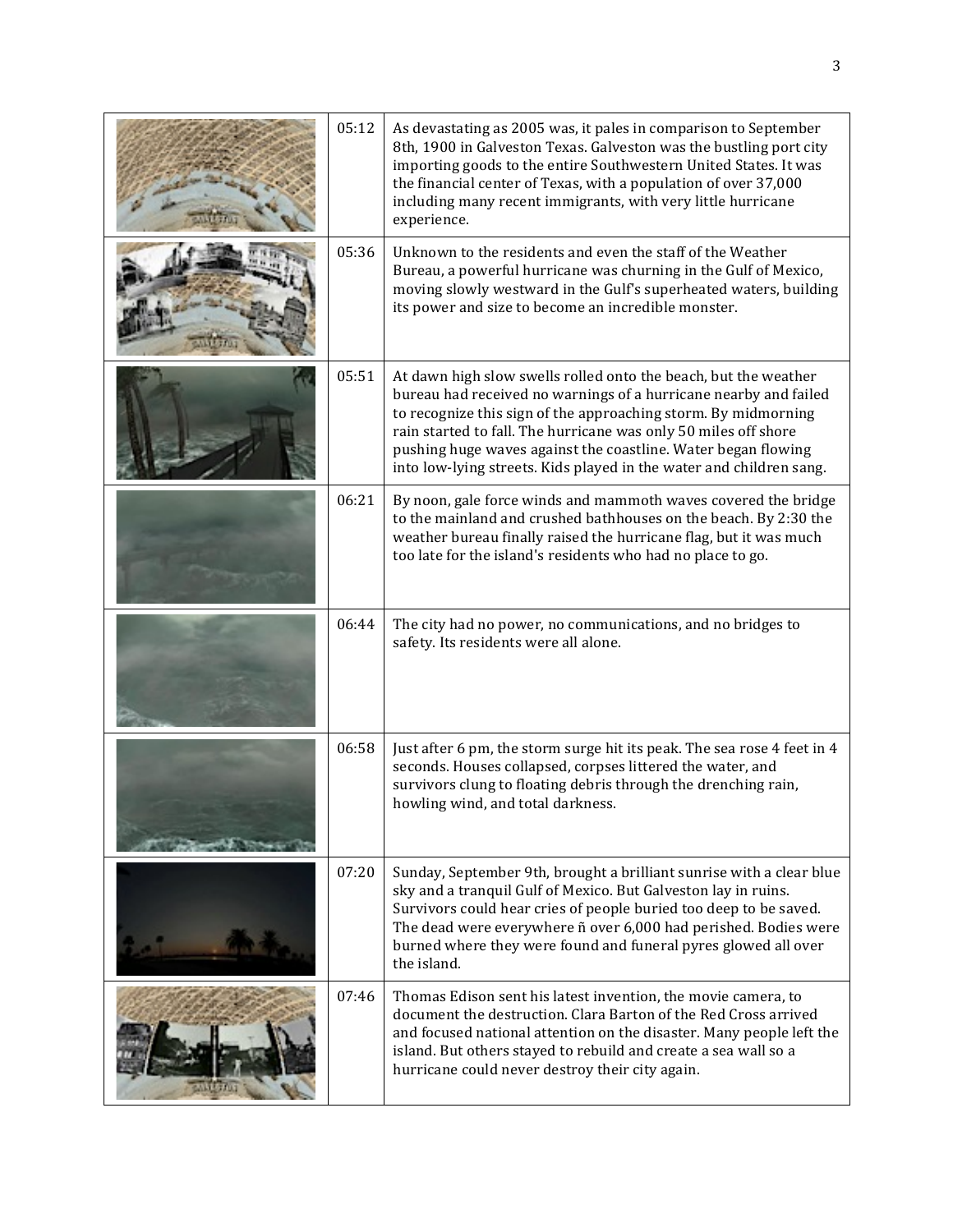| 05:12 | As devastating as 2005 was, it pales in comparison to September<br>8th, 1900 in Galveston Texas. Galveston was the bustling port city<br>importing goods to the entire Southwestern United States. It was<br>the financial center of Texas, with a population of over 37,000<br>including many recent immigrants, with very little hurricane<br>experience.                                                      |
|-------|------------------------------------------------------------------------------------------------------------------------------------------------------------------------------------------------------------------------------------------------------------------------------------------------------------------------------------------------------------------------------------------------------------------|
| 05:36 | Unknown to the residents and even the staff of the Weather<br>Bureau, a powerful hurricane was churning in the Gulf of Mexico,<br>moving slowly westward in the Gulf's superheated waters, building<br>its power and size to become an incredible monster.                                                                                                                                                       |
| 05:51 | At dawn high slow swells rolled onto the beach, but the weather<br>bureau had received no warnings of a hurricane nearby and failed<br>to recognize this sign of the approaching storm. By midmorning<br>rain started to fall. The hurricane was only 50 miles off shore<br>pushing huge waves against the coastline. Water began flowing<br>into low-lying streets. Kids played in the water and children sang. |
| 06:21 | By noon, gale force winds and mammoth waves covered the bridge<br>to the mainland and crushed bathhouses on the beach. By 2:30 the<br>weather bureau finally raised the hurricane flag, but it was much<br>too late for the island's residents who had no place to go.                                                                                                                                           |
| 06:44 | The city had no power, no communications, and no bridges to<br>safety. Its residents were all alone.                                                                                                                                                                                                                                                                                                             |
| 06:58 | Just after 6 pm, the storm surge hit its peak. The sea rose 4 feet in 4<br>seconds. Houses collapsed, corpses littered the water, and<br>survivors clung to floating debris through the drenching rain,<br>howling wind, and total darkness.                                                                                                                                                                     |
| 07:20 | Sunday, September 9th, brought a brilliant sunrise with a clear blue<br>sky and a tranquil Gulf of Mexico. But Galveston lay in ruins.<br>Survivors could hear cries of people buried too deep to be saved.<br>The dead were everywhere ñ over 6,000 had perished. Bodies were<br>burned where they were found and funeral pyres glowed all over<br>the island.                                                  |
| 07:46 | Thomas Edison sent his latest invention, the movie camera, to<br>document the destruction. Clara Barton of the Red Cross arrived<br>and focused national attention on the disaster. Many people left the<br>island. But others stayed to rebuild and create a sea wall so a<br>hurricane could never destroy their city again.                                                                                   |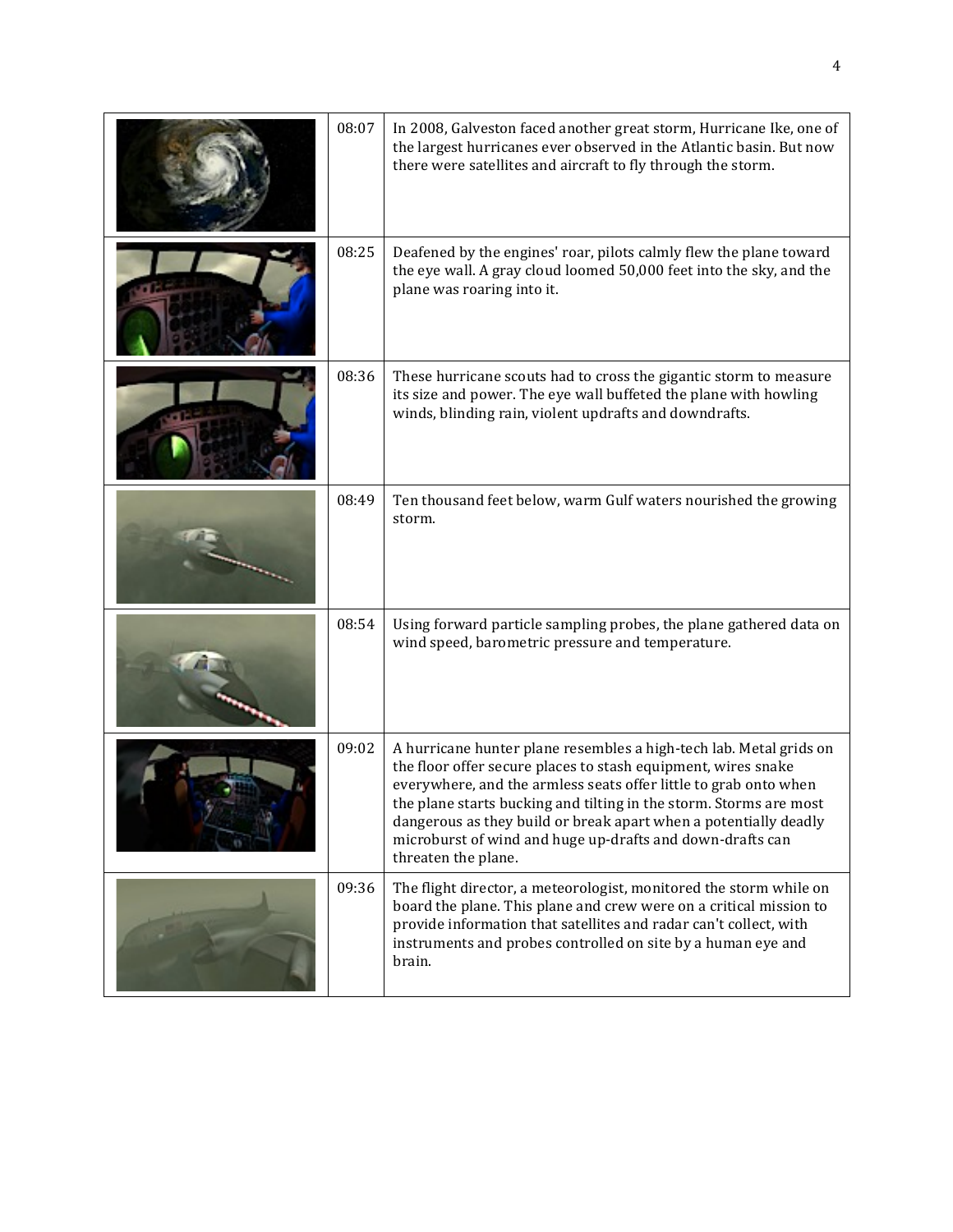| 08:07 | In 2008, Galveston faced another great storm, Hurricane Ike, one of<br>the largest hurricanes ever observed in the Atlantic basin. But now<br>there were satellites and aircraft to fly through the storm.                                                                                                                                                                                                                            |
|-------|---------------------------------------------------------------------------------------------------------------------------------------------------------------------------------------------------------------------------------------------------------------------------------------------------------------------------------------------------------------------------------------------------------------------------------------|
| 08:25 | Deafened by the engines' roar, pilots calmly flew the plane toward<br>the eye wall. A gray cloud loomed 50,000 feet into the sky, and the<br>plane was roaring into it.                                                                                                                                                                                                                                                               |
| 08:36 | These hurricane scouts had to cross the gigantic storm to measure<br>its size and power. The eye wall buffeted the plane with howling<br>winds, blinding rain, violent updrafts and downdrafts.                                                                                                                                                                                                                                       |
| 08:49 | Ten thousand feet below, warm Gulf waters nourished the growing<br>storm.                                                                                                                                                                                                                                                                                                                                                             |
| 08:54 | Using forward particle sampling probes, the plane gathered data on<br>wind speed, barometric pressure and temperature.                                                                                                                                                                                                                                                                                                                |
| 09:02 | A hurricane hunter plane resembles a high-tech lab. Metal grids on<br>the floor offer secure places to stash equipment, wires snake<br>everywhere, and the armless seats offer little to grab onto when<br>the plane starts bucking and tilting in the storm. Storms are most<br>dangerous as they build or break apart when a potentially deadly<br>microburst of wind and huge up-drafts and down-drafts can<br>threaten the plane. |
| 09:36 | The flight director, a meteorologist, monitored the storm while on<br>board the plane. This plane and crew were on a critical mission to<br>provide information that satellites and radar can't collect, with<br>instruments and probes controlled on site by a human eye and<br>brain.                                                                                                                                               |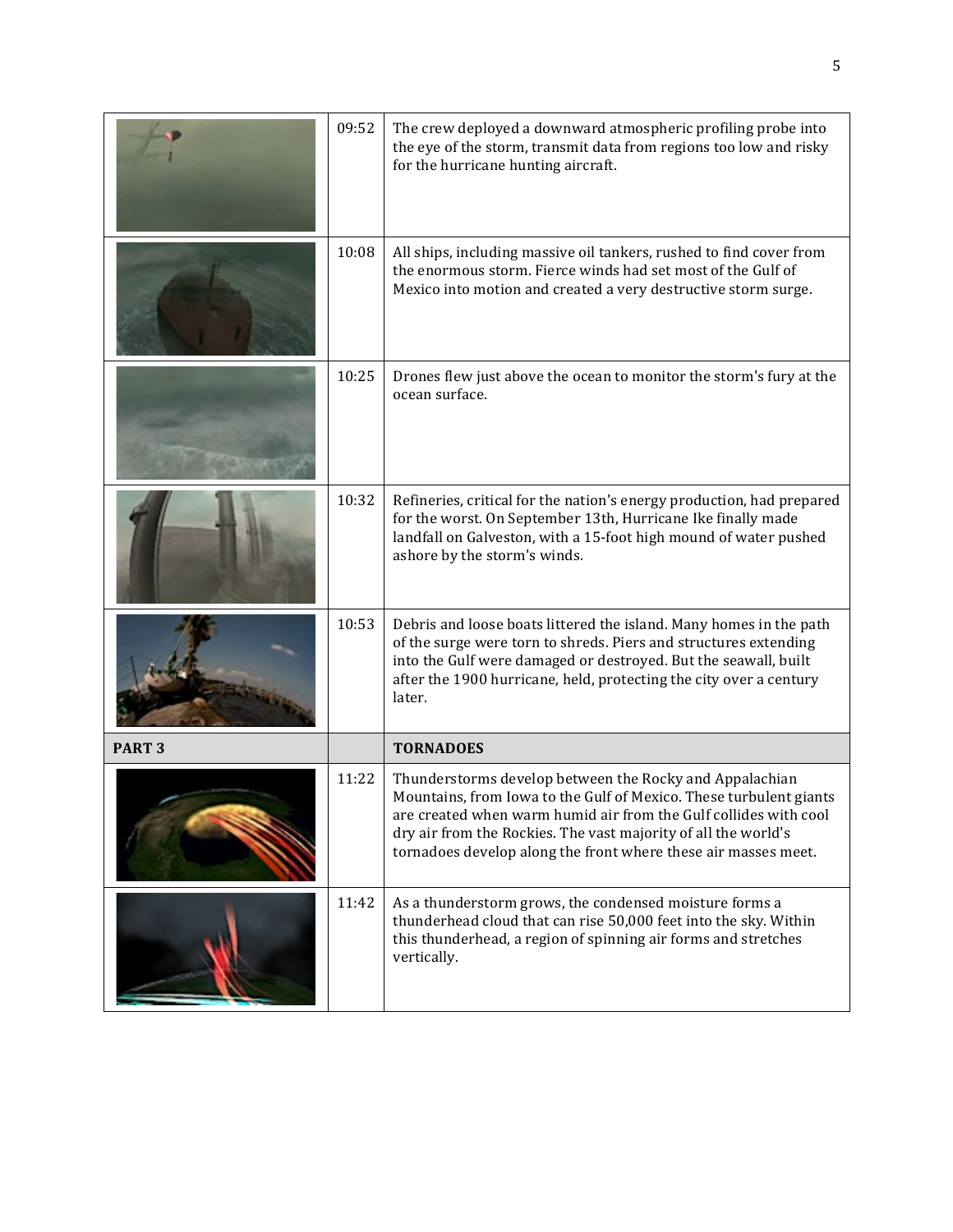|               | 09:52 | The crew deployed a downward atmospheric profiling probe into<br>the eye of the storm, transmit data from regions too low and risky<br>for the hurricane hunting aircraft.                                                                                                                                                            |
|---------------|-------|---------------------------------------------------------------------------------------------------------------------------------------------------------------------------------------------------------------------------------------------------------------------------------------------------------------------------------------|
|               | 10:08 | All ships, including massive oil tankers, rushed to find cover from<br>the enormous storm. Fierce winds had set most of the Gulf of<br>Mexico into motion and created a very destructive storm surge.                                                                                                                                 |
|               | 10:25 | Drones flew just above the ocean to monitor the storm's fury at the<br>ocean surface.                                                                                                                                                                                                                                                 |
|               | 10:32 | Refineries, critical for the nation's energy production, had prepared<br>for the worst. On September 13th, Hurricane Ike finally made<br>landfall on Galveston, with a 15-foot high mound of water pushed<br>ashore by the storm's winds.                                                                                             |
|               | 10:53 | Debris and loose boats littered the island. Many homes in the path<br>of the surge were torn to shreds. Piers and structures extending<br>into the Gulf were damaged or destroyed. But the seawall, built<br>after the 1900 hurricane, held, protecting the city over a century<br>later.                                             |
| <b>PART 3</b> |       | <b>TORNADOES</b>                                                                                                                                                                                                                                                                                                                      |
|               | 11:22 | Thunderstorms develop between the Rocky and Appalachian<br>Mountains, from Iowa to the Gulf of Mexico. These turbulent giants<br>are created when warm humid air from the Gulf collides with cool<br>dry air from the Rockies. The vast majority of all the world's<br>tornadoes develop along the front where these air masses meet. |
|               | 11:42 | As a thunderstorm grows, the condensed moisture forms a<br>thunderhead cloud that can rise 50,000 feet into the sky. Within<br>this thunderhead, a region of spinning air forms and stretches<br>vertically.                                                                                                                          |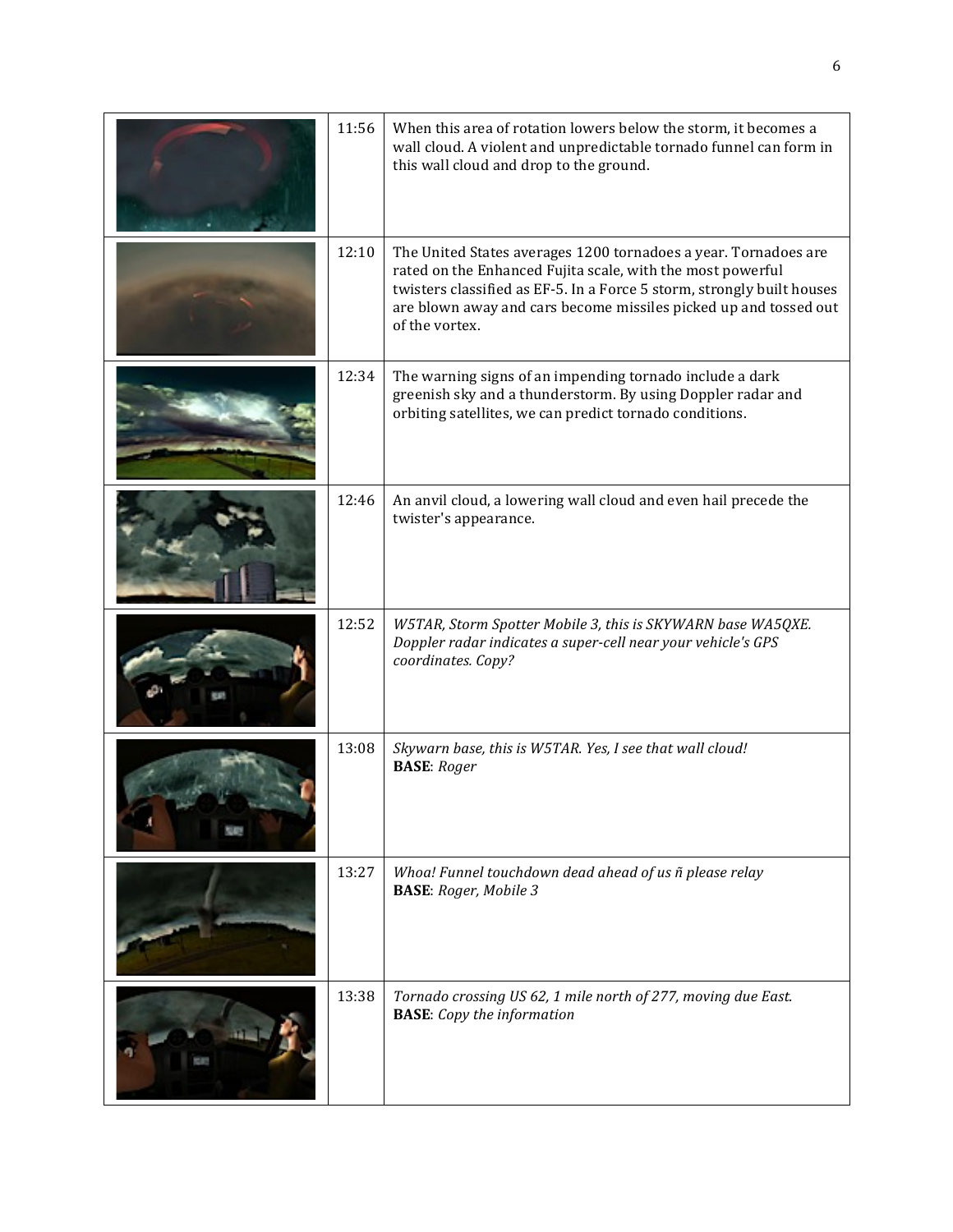| 11:56 | When this area of rotation lowers below the storm, it becomes a<br>wall cloud. A violent and unpredictable tornado funnel can form in<br>this wall cloud and drop to the ground.                                                                                                              |
|-------|-----------------------------------------------------------------------------------------------------------------------------------------------------------------------------------------------------------------------------------------------------------------------------------------------|
| 12:10 | The United States averages 1200 tornadoes a year. Tornadoes are<br>rated on the Enhanced Fujita scale, with the most powerful<br>twisters classified as EF-5. In a Force 5 storm, strongly built houses<br>are blown away and cars become missiles picked up and tossed out<br>of the vortex. |
| 12:34 | The warning signs of an impending tornado include a dark<br>greenish sky and a thunderstorm. By using Doppler radar and<br>orbiting satellites, we can predict tornado conditions.                                                                                                            |
| 12:46 | An anvil cloud, a lowering wall cloud and even hail precede the<br>twister's appearance.                                                                                                                                                                                                      |
| 12:52 | W5TAR, Storm Spotter Mobile 3, this is SKYWARN base WA5QXE.<br>Doppler radar indicates a super-cell near your vehicle's GPS<br>coordinates. Copy?                                                                                                                                             |
| 13:08 | Skywarn base, this is W5TAR. Yes, I see that wall cloud!<br><b>BASE</b> : Roger                                                                                                                                                                                                               |
| 13:27 | Whoa! Funnel touchdown dead ahead of us ñ please relay<br><b>BASE:</b> Roger, Mobile 3                                                                                                                                                                                                        |
| 13:38 | Tornado crossing US 62, 1 mile north of 277, moving due East.<br><b>BASE:</b> Copy the information                                                                                                                                                                                            |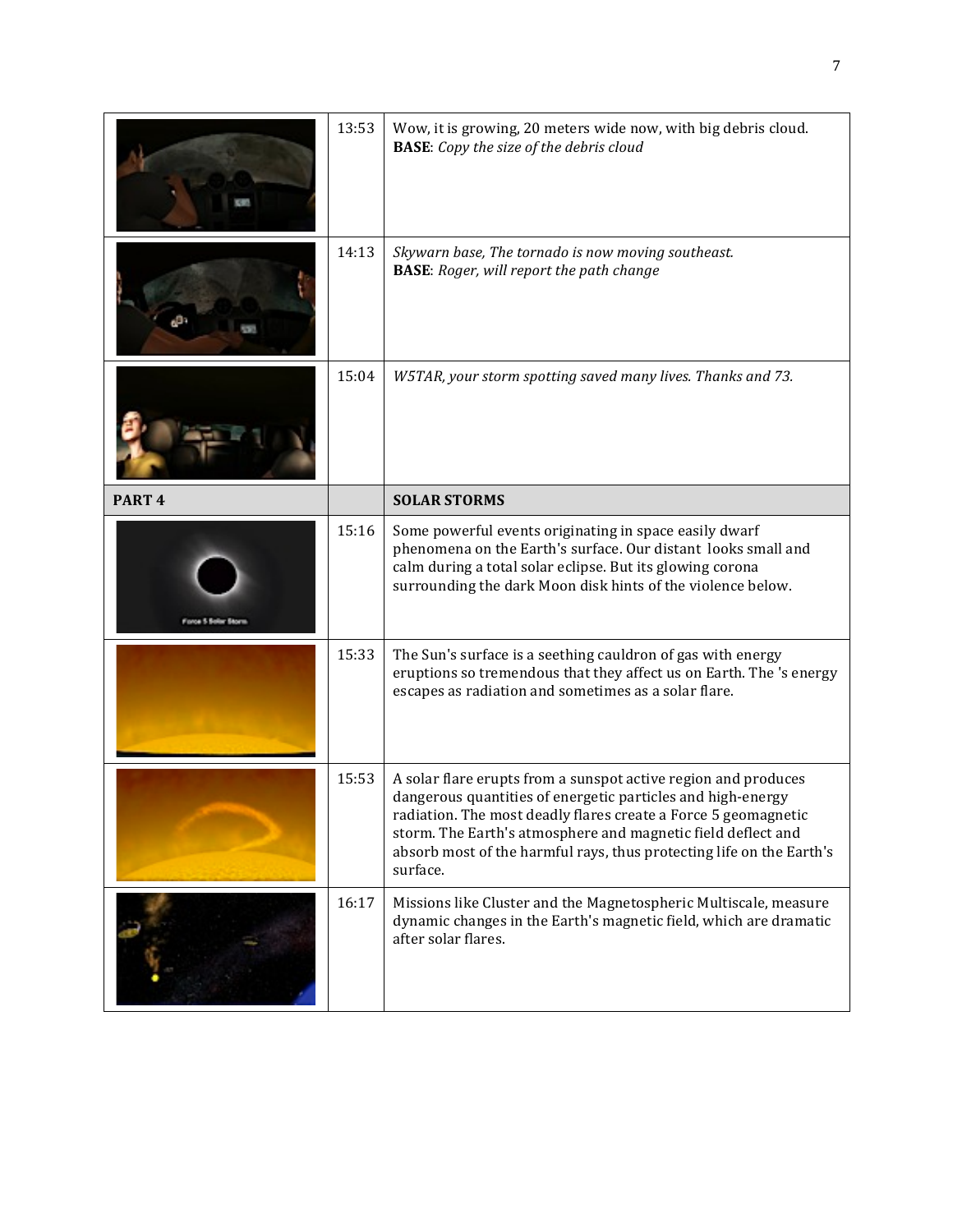|                     | 13:53 | Wow, it is growing, 20 meters wide now, with big debris cloud.<br><b>BASE:</b> Copy the size of the debris cloud                                                                                                                                                                                                                                    |
|---------------------|-------|-----------------------------------------------------------------------------------------------------------------------------------------------------------------------------------------------------------------------------------------------------------------------------------------------------------------------------------------------------|
|                     | 14:13 | Skywarn base, The tornado is now moving southeast.<br><b>BASE:</b> Roger, will report the path change                                                                                                                                                                                                                                               |
|                     | 15:04 | W5TAR, your storm spotting saved many lives. Thanks and 73.                                                                                                                                                                                                                                                                                         |
| PART <sub>4</sub>   |       | <b>SOLAR STORMS</b>                                                                                                                                                                                                                                                                                                                                 |
| Force 5 Solar Storm | 15:16 | Some powerful events originating in space easily dwarf<br>phenomena on the Earth's surface. Our distant looks small and<br>calm during a total solar eclipse. But its glowing corona<br>surrounding the dark Moon disk hints of the violence below.                                                                                                 |
|                     | 15:33 | The Sun's surface is a seething cauldron of gas with energy<br>eruptions so tremendous that they affect us on Earth. The 's energy<br>escapes as radiation and sometimes as a solar flare.                                                                                                                                                          |
|                     | 15:53 | A solar flare erupts from a sunspot active region and produces<br>dangerous quantities of energetic particles and high-energy<br>radiation. The most deadly flares create a Force 5 geomagnetic<br>storm. The Earth's atmosphere and magnetic field deflect and<br>absorb most of the harmful rays, thus protecting life on the Earth's<br>surface. |
|                     | 16:17 | Missions like Cluster and the Magnetospheric Multiscale, measure<br>dynamic changes in the Earth's magnetic field, which are dramatic<br>after solar flares.                                                                                                                                                                                        |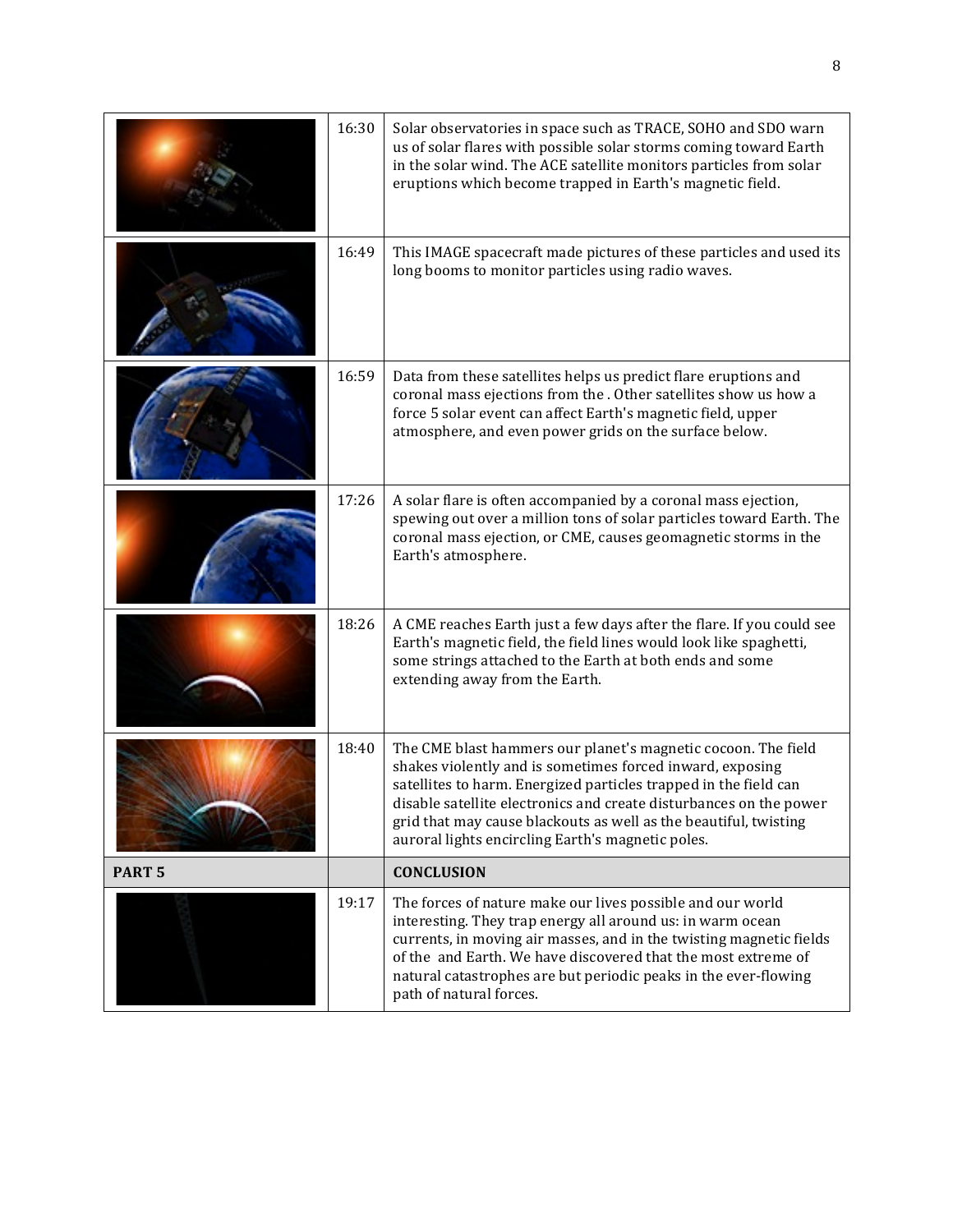|                   | 16:30 | Solar observatories in space such as TRACE, SOHO and SDO warn<br>us of solar flares with possible solar storms coming toward Earth<br>in the solar wind. The ACE satellite monitors particles from solar<br>eruptions which become trapped in Earth's magnetic field.                                                                                                                         |
|-------------------|-------|-----------------------------------------------------------------------------------------------------------------------------------------------------------------------------------------------------------------------------------------------------------------------------------------------------------------------------------------------------------------------------------------------|
|                   | 16:49 | This IMAGE spacecraft made pictures of these particles and used its<br>long booms to monitor particles using radio waves.                                                                                                                                                                                                                                                                     |
|                   | 16:59 | Data from these satellites helps us predict flare eruptions and<br>coronal mass ejections from the . Other satellites show us how a<br>force 5 solar event can affect Earth's magnetic field, upper<br>atmosphere, and even power grids on the surface below.                                                                                                                                 |
|                   | 17:26 | A solar flare is often accompanied by a coronal mass ejection,<br>spewing out over a million tons of solar particles toward Earth. The<br>coronal mass ejection, or CME, causes geomagnetic storms in the<br>Earth's atmosphere.                                                                                                                                                              |
|                   | 18:26 | A CME reaches Earth just a few days after the flare. If you could see<br>Earth's magnetic field, the field lines would look like spaghetti,<br>some strings attached to the Earth at both ends and some<br>extending away from the Earth.                                                                                                                                                     |
|                   | 18:40 | The CME blast hammers our planet's magnetic cocoon. The field<br>shakes violently and is sometimes forced inward, exposing<br>satellites to harm. Energized particles trapped in the field can<br>disable satellite electronics and create disturbances on the power<br>grid that may cause blackouts as well as the beautiful, twisting<br>auroral lights encircling Earth's magnetic poles. |
| PART <sub>5</sub> |       | <b>CONCLUSION</b>                                                                                                                                                                                                                                                                                                                                                                             |
|                   | 19:17 | The forces of nature make our lives possible and our world<br>interesting. They trap energy all around us: in warm ocean<br>currents, in moving air masses, and in the twisting magnetic fields<br>of the and Earth. We have discovered that the most extreme of<br>natural catastrophes are but periodic peaks in the ever-flowing<br>path of natural forces.                                |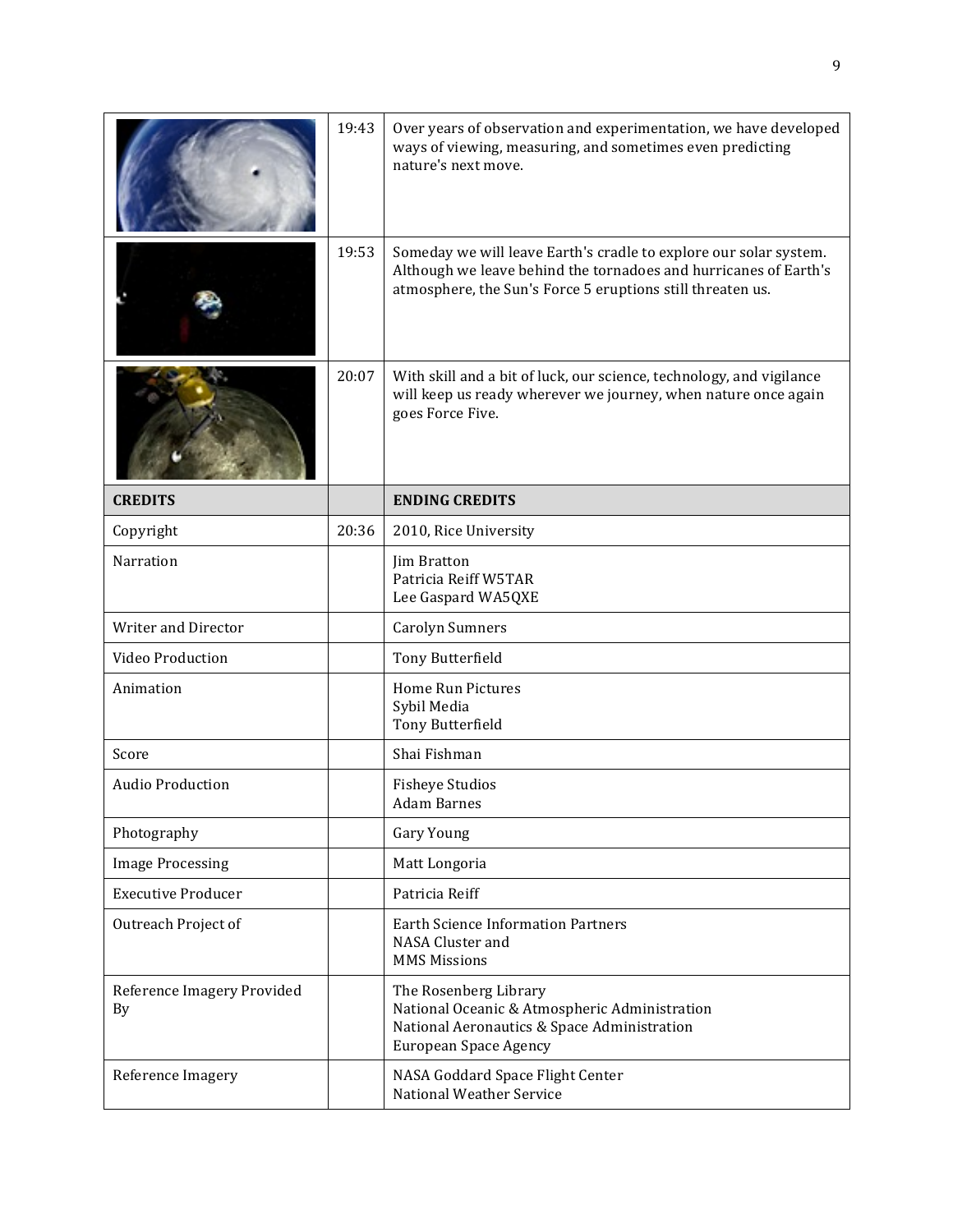|                                  | 19:43 | Over years of observation and experimentation, we have developed<br>ways of viewing, measuring, and sometimes even predicting<br>nature's next move.                                                |
|----------------------------------|-------|-----------------------------------------------------------------------------------------------------------------------------------------------------------------------------------------------------|
|                                  | 19:53 | Someday we will leave Earth's cradle to explore our solar system.<br>Although we leave behind the tornadoes and hurricanes of Earth's<br>atmosphere, the Sun's Force 5 eruptions still threaten us. |
|                                  | 20:07 | With skill and a bit of luck, our science, technology, and vigilance<br>will keep us ready wherever we journey, when nature once again<br>goes Force Five.                                          |
| <b>CREDITS</b>                   |       | <b>ENDING CREDITS</b>                                                                                                                                                                               |
| Copyright                        | 20:36 | 2010, Rice University                                                                                                                                                                               |
| Narration                        |       | Jim Bratton<br>Patricia Reiff W5TAR<br>Lee Gaspard WA5QXE                                                                                                                                           |
| <b>Writer and Director</b>       |       | <b>Carolyn Sumners</b>                                                                                                                                                                              |
| Video Production                 |       | Tony Butterfield                                                                                                                                                                                    |
| Animation                        |       | <b>Home Run Pictures</b><br>Sybil Media<br>Tony Butterfield                                                                                                                                         |
| Score                            |       | Shai Fishman                                                                                                                                                                                        |
| <b>Audio Production</b>          |       | <b>Fisheye Studios</b><br>Adam Barnes                                                                                                                                                               |
| Photography                      |       | Gary Young                                                                                                                                                                                          |
| <b>Image Processing</b>          |       | Matt Longoria                                                                                                                                                                                       |
| <b>Executive Producer</b>        |       | Patricia Reiff                                                                                                                                                                                      |
| Outreach Project of              |       | <b>Earth Science Information Partners</b><br>NASA Cluster and<br><b>MMS Missions</b>                                                                                                                |
| Reference Imagery Provided<br>By |       | The Rosenberg Library<br>National Oceanic & Atmospheric Administration<br>National Aeronautics & Space Administration<br><b>European Space Agency</b>                                               |
| Reference Imagery                |       | NASA Goddard Space Flight Center<br><b>National Weather Service</b>                                                                                                                                 |